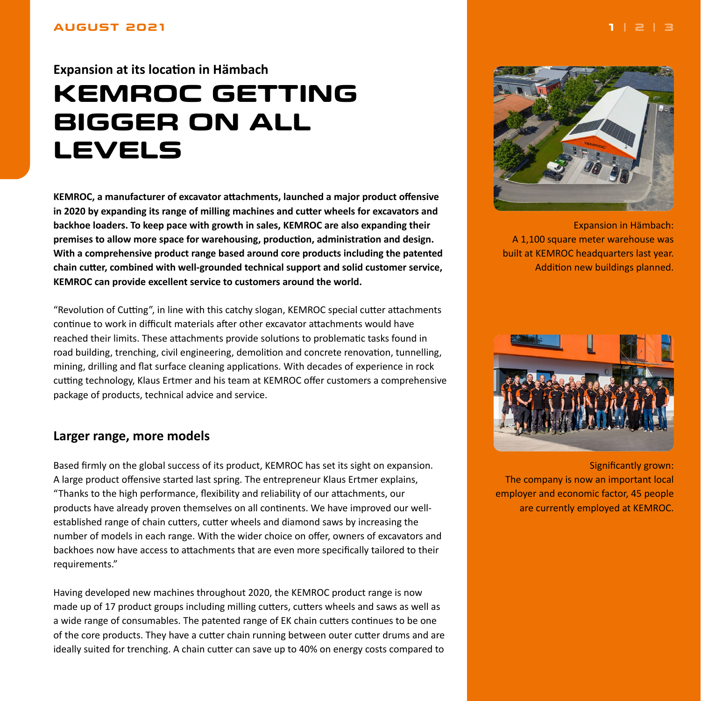#### <span id="page-0-0"></span>**AUGUST 2021**

# **Expansion at its location in Hämbach KEMROC GETTING**

# **BIGGER ON ALL LEVELS**

**KEMROC, a manufacturer of excavator attachments, launched a major product offensive in 2020 by expanding its range of milling machines and cutter wheels for excavators and backhoe loaders. To keep pace with growth in sales, KEMROC are also expanding their premises to allow more space for warehousing, production, administration and design. With a comprehensive product range based around core products including the patented chain cutter, combined with well-grounded technical support and solid customer service, KEMROC can provide excellent service to customers around the world.**

"Revolution of Cutting", in line with this catchy slogan, KEMROC special cutter attachments continue to work in difficult materials after other excavator attachments would have reached their limits. These attachments provide solutions to problematic tasks found in road building, trenching, civil engineering, demolition and concrete renovation, tunnelling, mining, drilling and flat surface cleaning applications. With decades of experience in rock cutting technology, Klaus Ertmer and his team at KEMROC offer customers a comprehensive package of products, technical advice and service.

## **Larger range, more models**

Based firmly on the global success of its product, KEMROC has set its sight on expansion. A large product offensive started last spring. The entrepreneur Klaus Ertmer explains, "Thanks to the high performance, flexibility and reliability of our attachments, our products have already proven themselves on all continents. We have improved our wellestablished range of chain cutters, cutter wheels and diamond saws by increasing the number of models in each range. With the wider choice on offer, owners of excavators and backhoes now have access to attachments that are even more specifically tailored to their requirements."

Having developed new machines throughout 2020, the KEMROC product range is now made up of 17 product groups including milling cutters, cutters wheels and saws as well as a wide range of consumables. The patented range of EK chain cutters continues to be one of the core products. They have a cutter chain running between outer cutter drums and are ideally suited for trenching. A chain cutter can save up to 40% on energy costs compared to



Expansion in Hämbach: A 1,100 square meter warehouse was built at KEMROC headquarters last year. Addition new buildings planned.



Significantly grown: The company is now an important local employer and economic factor, 45 people are currently employed at KEMROC.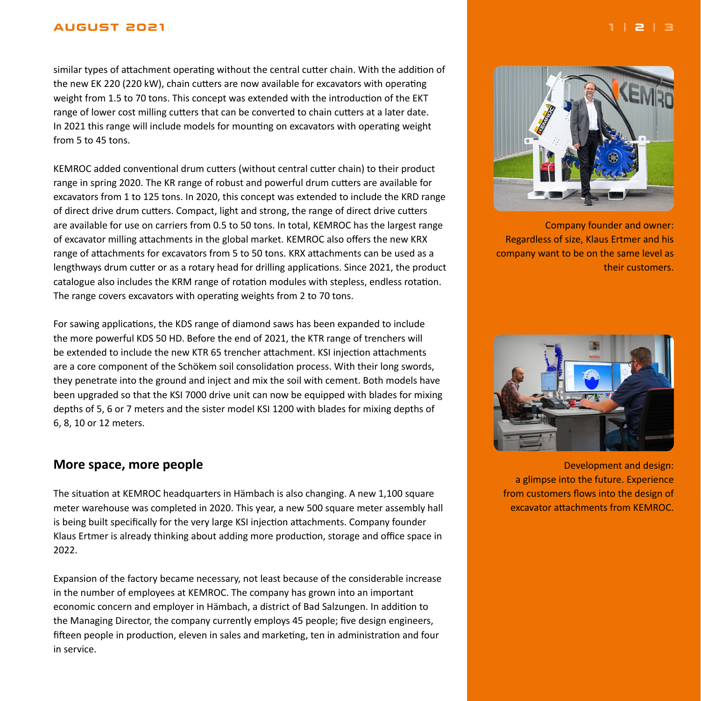#### <span id="page-1-0"></span>**AUGUST 2021 [1](#page-0-0) | 2 | [3](#page-2-0)**

similar types of attachment operating without the central cutter chain. With the addition of the new EK 220 (220 kW), chain cutters are now available for excavators with operating weight from 1.5 to 70 tons. This concept was extended with the introduction of the EKT range of lower cost milling cutters that can be converted to chain cutters at a later date. In 2021 this range will include models for mounting on excavators with operating weight from 5 to 45 tons.

KEMROC added conventional drum cutters (without central cutter chain) to their product range in spring 2020. The KR range of robust and powerful drum cutters are available for excavators from 1 to 125 tons. In 2020, this concept was extended to include the KRD range of direct drive drum cutters. Compact, light and strong, the range of direct drive cutters are available for use on carriers from 0.5 to 50 tons. In total, KEMROC has the largest range of excavator milling attachments in the global market. KEMROC also offers the new KRX range of attachments for excavators from 5 to 50 tons. KRX attachments can be used as a lengthways drum cutter or as a rotary head for drilling applications. Since 2021, the product catalogue also includes the KRM range of rotation modules with stepless, endless rotation. The range covers excavators with operating weights from 2 to 70 tons.

For sawing applications, the KDS range of diamond saws has been expanded to include the more powerful KDS 50 HD. Before the end of 2021, the KTR range of trenchers will be extended to include the new KTR 65 trencher attachment. KSI injection attachments are a core component of the Schökem soil consolidation process. With their long swords, they penetrate into the ground and inject and mix the soil with cement. Both models have been upgraded so that the KSI 7000 drive unit can now be equipped with blades for mixing depths of 5, 6 or 7 meters and the sister model KSI 1200 with blades for mixing depths of 6, 8, 10 or 12 meters.

### **More space, more people**

The situation at KEMROC headquarters in Hämbach is also changing. A new 1,100 square meter warehouse was completed in 2020. This year, a new 500 square meter assembly hall is being built specifically for the very large KSI injection attachments. Company founder Klaus Ertmer is already thinking about adding more production, storage and office space in 2022.

Expansion of the factory became necessary, not least because of the considerable increase in the number of employees at KEMROC. The company has grown into an important economic concern and employer in Hämbach, a district of Bad Salzungen. In addition to the Managing Director, the company currently employs 45 people; five design engineers, fifteen people in production, eleven in sales and marketing, ten in administration and four in service.



Company founder and owner: Regardless of size, Klaus Ertmer and his company want to be on the same level as their customers.



Development and design: a glimpse into the future. Experience from customers flows into the design of excavator attachments from KEMROC.